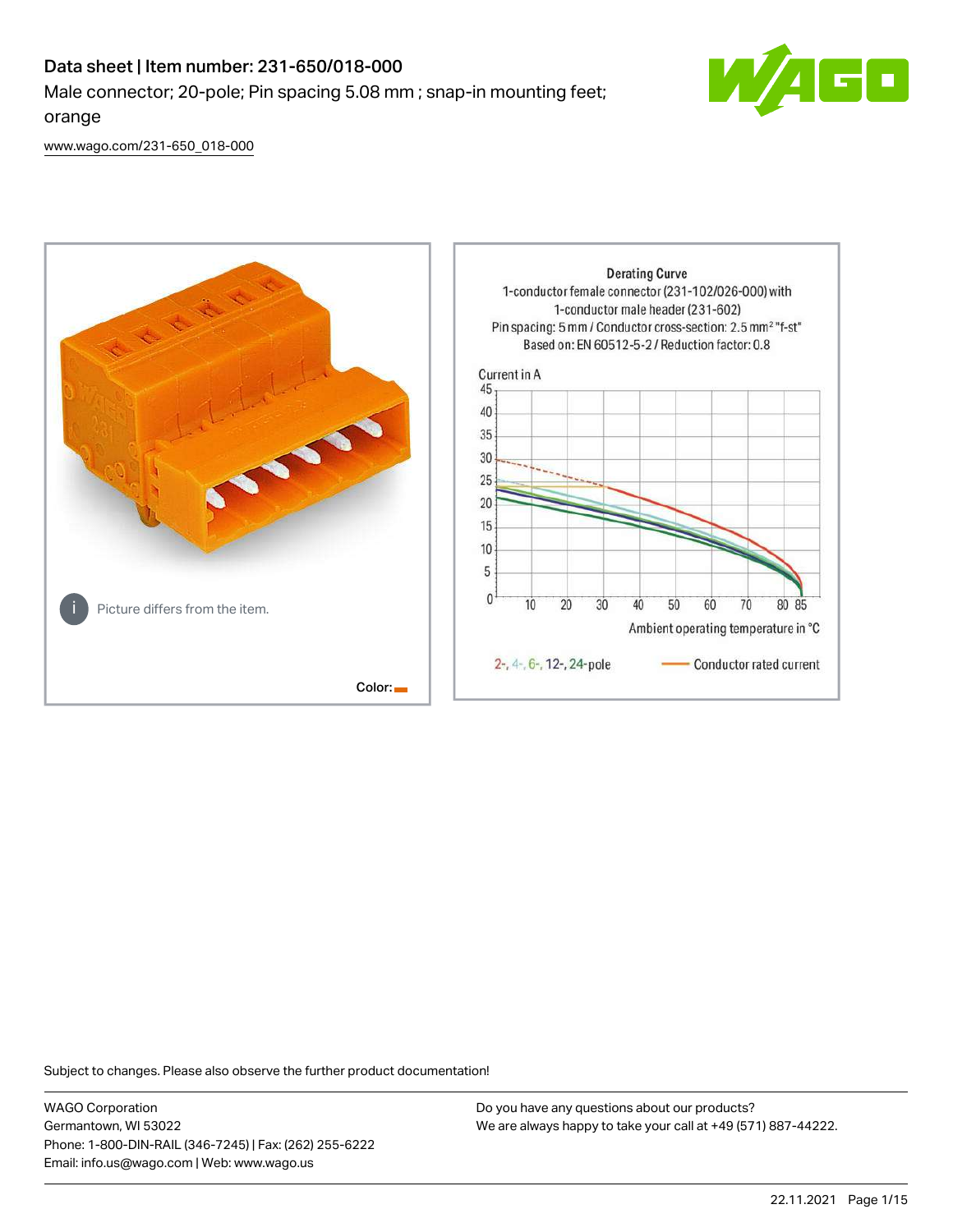# Data sheet | Item number: 231-650/018-000 Male connector; 20-pole; Pin spacing 5.08 mm ; snap-in mounting feet; orange



[www.wago.com/231-650\\_018-000](http://www.wago.com/231-650_018-000)



Subject to changes. Please also observe the further product documentation!

WAGO Corporation Germantown, WI 53022 Phone: 1-800-DIN-RAIL (346-7245) | Fax: (262) 255-6222 Email: info.us@wago.com | Web: www.wago.us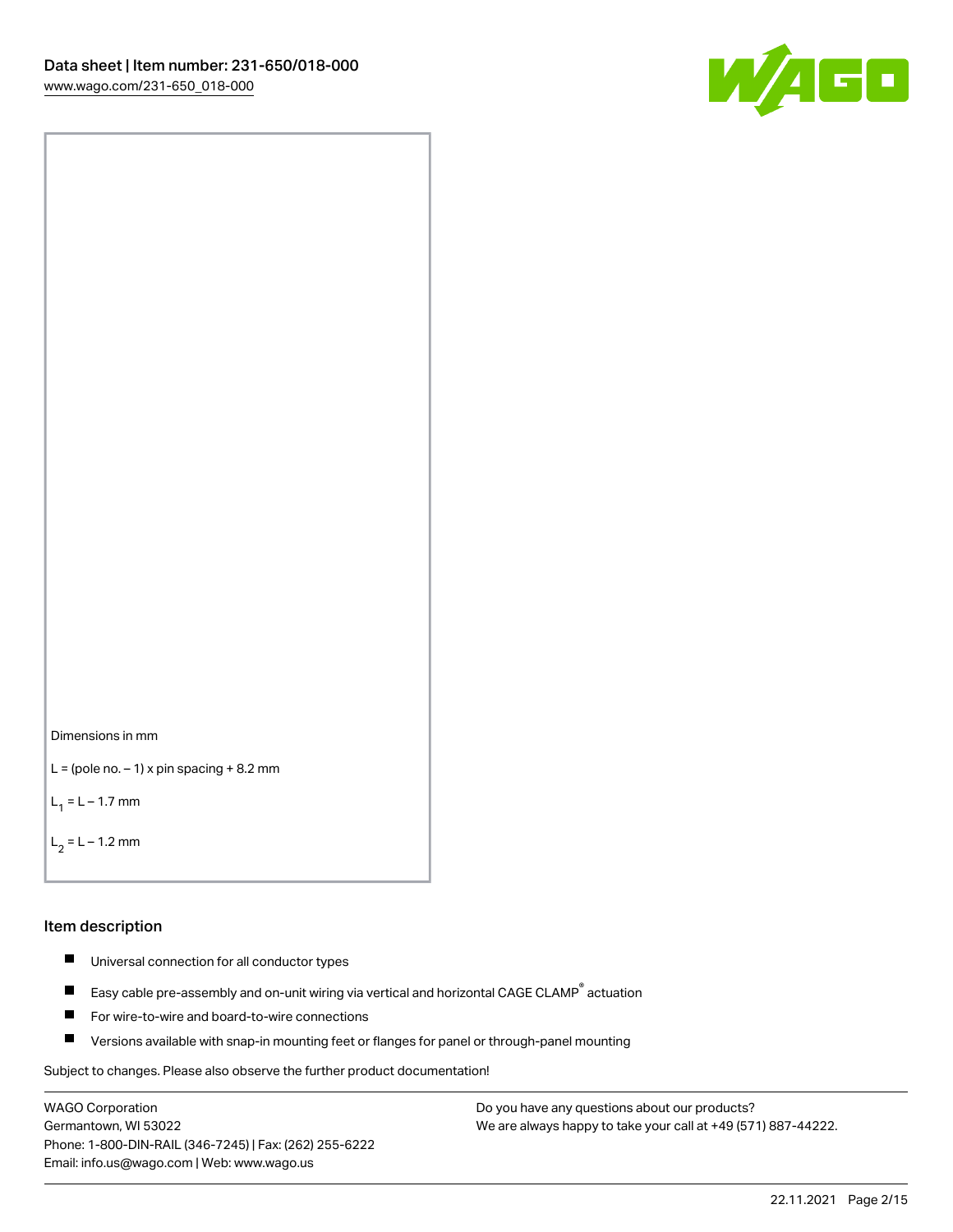



```
L = (pole no. -1) x pin spacing +8.2 mm
```
 $L_1 = L - 1.7$  mm

 $L_2 = L - 1.2$  mm

#### Item description

- $\blacksquare$ Universal connection for all conductor types
- Easy cable pre-assembly and on-unit wiring via vertical and horizontal CAGE CLAMP<sup>®</sup> actuation  $\blacksquare$
- $\blacksquare$ For wire-to-wire and board-to-wire connections
- $\blacksquare$ Versions available with snap-in mounting feet or flanges for panel or through-panel mounting

Subject to changes. Please also observe the further product documentation!

WAGO Corporation Germantown, WI 53022 Phone: 1-800-DIN-RAIL (346-7245) | Fax: (262) 255-6222 Email: info.us@wago.com | Web: www.wago.us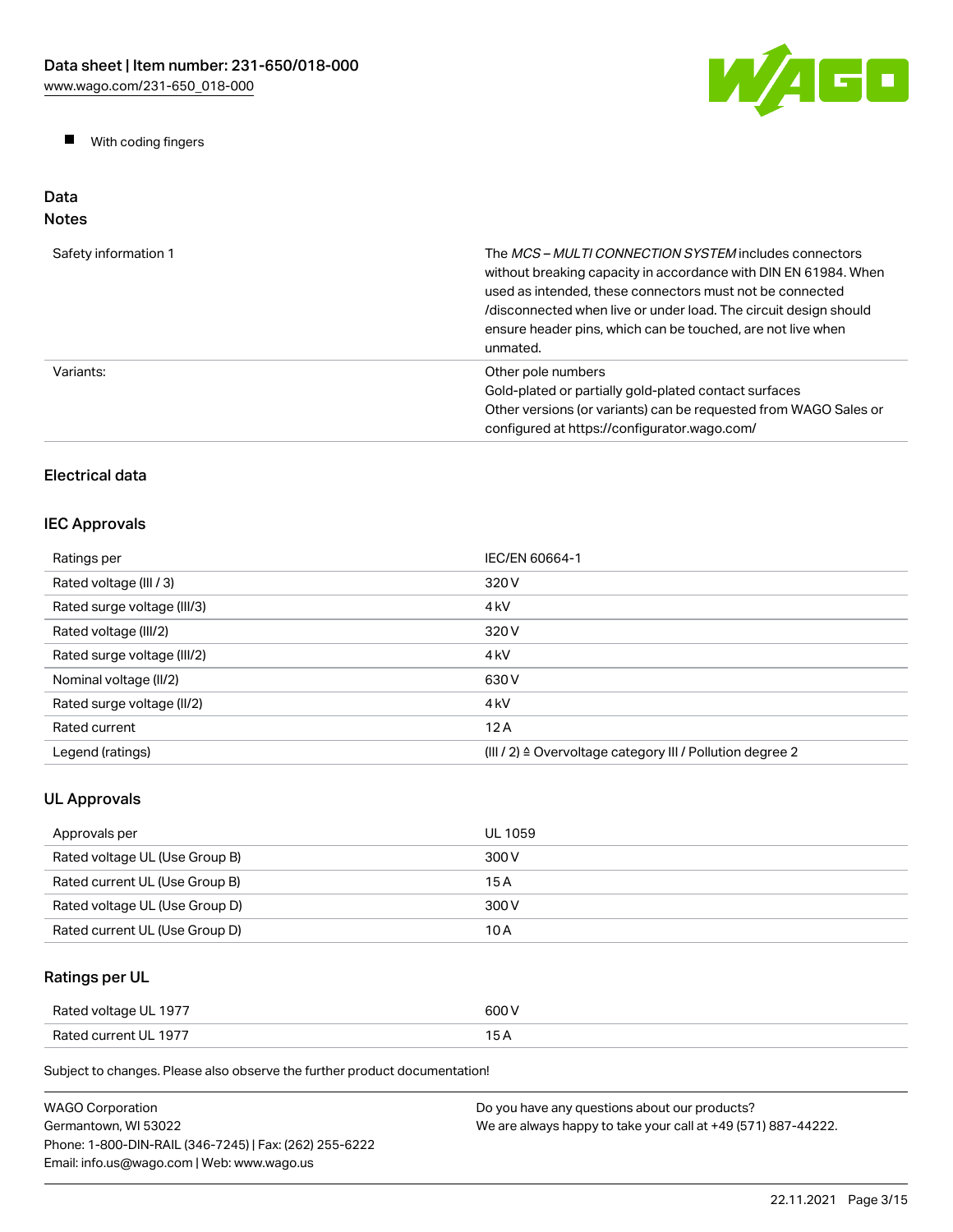W/AGO

 $\blacksquare$ With coding fingers

#### Data Notes

| Safety information 1 | The <i>MCS – MULTI CONNECTION SYSTEM</i> includes connectors<br>without breaking capacity in accordance with DIN EN 61984. When<br>used as intended, these connectors must not be connected<br>/disconnected when live or under load. The circuit design should<br>ensure header pins, which can be touched, are not live when<br>unmated. |
|----------------------|--------------------------------------------------------------------------------------------------------------------------------------------------------------------------------------------------------------------------------------------------------------------------------------------------------------------------------------------|
| Variants:            | Other pole numbers<br>Gold-plated or partially gold-plated contact surfaces<br>Other versions (or variants) can be requested from WAGO Sales or<br>configured at https://configurator.wago.com/                                                                                                                                            |

# Electrical data

# IEC Approvals

| Ratings per                 | IEC/EN 60664-1                                                       |
|-----------------------------|----------------------------------------------------------------------|
| Rated voltage (III / 3)     | 320 V                                                                |
| Rated surge voltage (III/3) | 4 <sub>k</sub> V                                                     |
| Rated voltage (III/2)       | 320 V                                                                |
| Rated surge voltage (III/2) | 4 <sub>k</sub> V                                                     |
| Nominal voltage (II/2)      | 630 V                                                                |
| Rated surge voltage (II/2)  | 4 <sub>k</sub> V                                                     |
| Rated current               | 12A                                                                  |
| Legend (ratings)            | (III / 2) $\triangleq$ Overvoltage category III / Pollution degree 2 |

# UL Approvals

| Approvals per                  | UL 1059 |
|--------------------------------|---------|
| Rated voltage UL (Use Group B) | 300 V   |
| Rated current UL (Use Group B) | 15 A    |
| Rated voltage UL (Use Group D) | 300 V   |
| Rated current UL (Use Group D) | 10 A    |

# Ratings per UL

| Rated voltage UL 1977 | 600 V |
|-----------------------|-------|
| Rated current UL 1977 | 15 A  |

| <b>WAGO Corporation</b>                                | Do you have any questions about our products?                 |
|--------------------------------------------------------|---------------------------------------------------------------|
| Germantown. WI 53022                                   | We are always happy to take your call at +49 (571) 887-44222. |
| Phone: 1-800-DIN-RAIL (346-7245)   Fax: (262) 255-6222 |                                                               |
| Email: info.us@wago.com   Web: www.wago.us             |                                                               |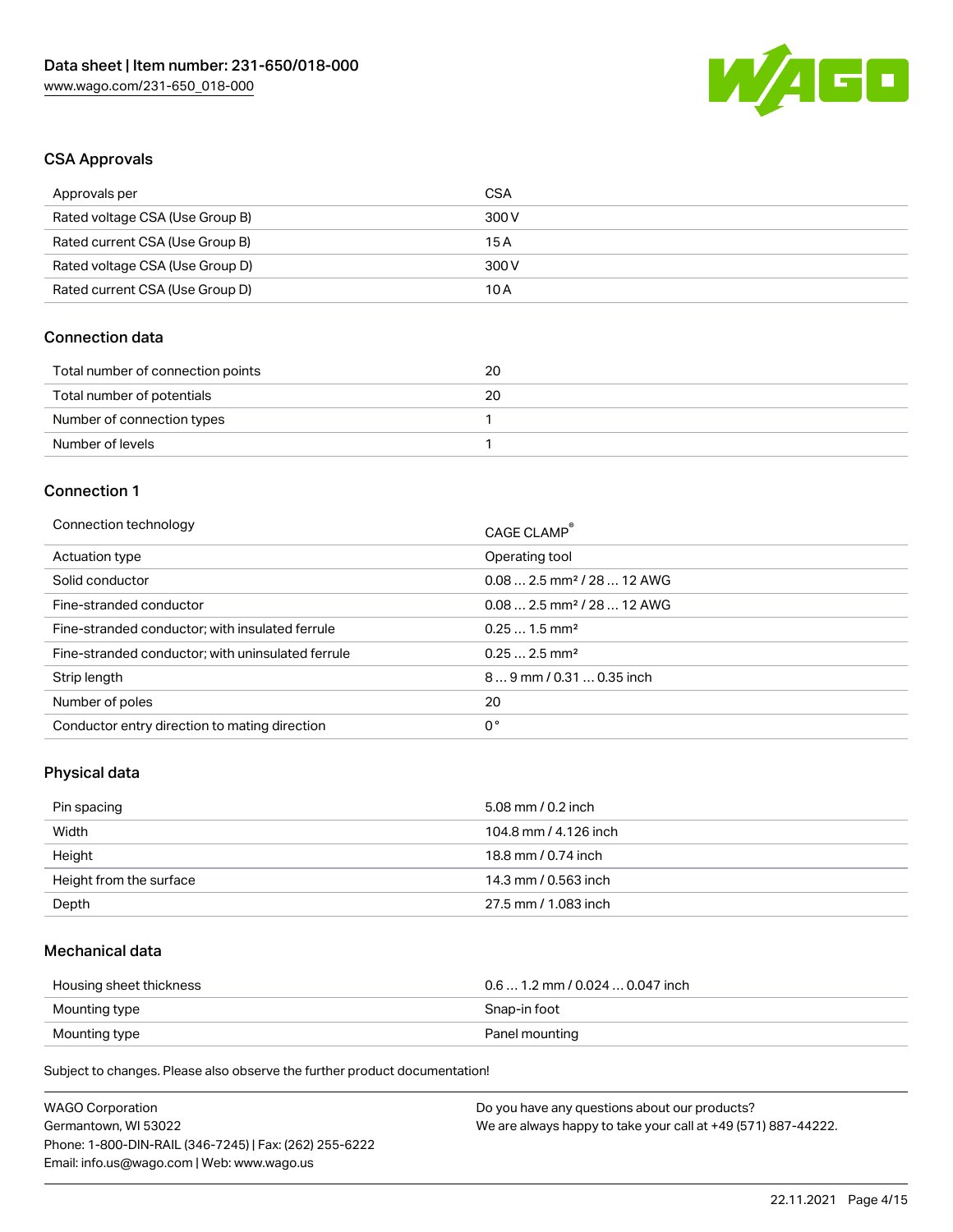

### CSA Approvals

| Approvals per                   | CSA   |
|---------------------------------|-------|
| Rated voltage CSA (Use Group B) | 300 V |
| Rated current CSA (Use Group B) | 15 A  |
| Rated voltage CSA (Use Group D) | 300 V |
| Rated current CSA (Use Group D) | 10 A  |

### Connection data

| Total number of connection points | 20 |
|-----------------------------------|----|
| Total number of potentials        | 20 |
| Number of connection types        |    |
| Number of levels                  |    |

#### Connection 1

| Connection technology                             | CAGE CLAMP®                            |
|---------------------------------------------------|----------------------------------------|
| Actuation type                                    | Operating tool                         |
| Solid conductor                                   | $0.082.5$ mm <sup>2</sup> / 28  12 AWG |
| Fine-stranded conductor                           | $0.082.5$ mm <sup>2</sup> / 28  12 AWG |
| Fine-stranded conductor; with insulated ferrule   | $0.251.5$ mm <sup>2</sup>              |
| Fine-stranded conductor; with uninsulated ferrule | $0.252.5$ mm <sup>2</sup>              |
| Strip length                                      | $89$ mm / 0.31  0.35 inch              |
| Number of poles                                   | 20                                     |
| Conductor entry direction to mating direction     | 0°                                     |
|                                                   |                                        |

# Physical data

| Pin spacing             | 5.08 mm / 0.2 inch    |
|-------------------------|-----------------------|
| Width                   | 104.8 mm / 4.126 inch |
| Height                  | 18.8 mm / 0.74 inch   |
| Height from the surface | 14.3 mm / 0.563 inch  |
| Depth                   | 27.5 mm / 1.083 inch  |

### Mechanical data

| Housing sheet thickness | $0.6$ 1.2 mm / 0.024 $$ 0.047 inch |
|-------------------------|------------------------------------|
| Mounting type           | Snap-in foot                       |
| Mounting type           | Panel mounting                     |

| <b>WAGO Corporation</b>                                | Do you have any questions about our products?                 |
|--------------------------------------------------------|---------------------------------------------------------------|
| Germantown, WI 53022                                   | We are always happy to take your call at +49 (571) 887-44222. |
| Phone: 1-800-DIN-RAIL (346-7245)   Fax: (262) 255-6222 |                                                               |
| Email: info.us@wago.com   Web: www.wago.us             |                                                               |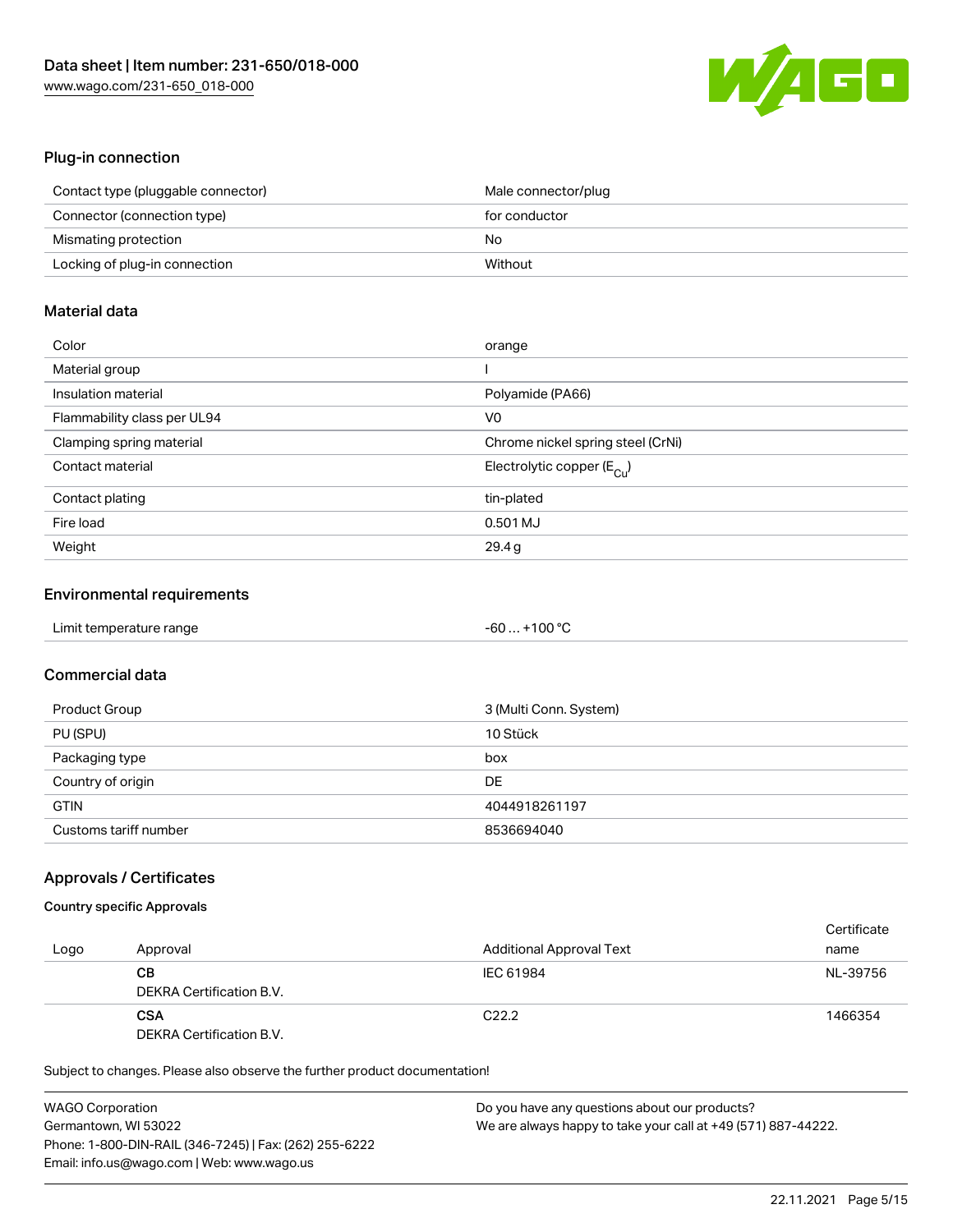

### Plug-in connection

| Contact type (pluggable connector) | Male connector/plug |
|------------------------------------|---------------------|
| Connector (connection type)        | for conductor       |
| Mismating protection               | No                  |
| Locking of plug-in connection      | Without             |

### Material data

| Color                       | orange                                  |
|-----------------------------|-----------------------------------------|
| Material group              |                                         |
| Insulation material         | Polyamide (PA66)                        |
| Flammability class per UL94 | V0                                      |
| Clamping spring material    | Chrome nickel spring steel (CrNi)       |
| Contact material            | Electrolytic copper ( $E_{\text{Cu}}$ ) |
| Contact plating             | tin-plated                              |
| Fire load                   | 0.501 MJ                                |
| Weight                      | 29.4g                                   |

### Environmental requirements

| Limit temperature range | -60  +100 °C |  |
|-------------------------|--------------|--|
|-------------------------|--------------|--|

# Commercial data

| Product Group         | 3 (Multi Conn. System) |
|-----------------------|------------------------|
| PU (SPU)              | 10 Stück               |
| Packaging type        | box                    |
| Country of origin     | DE                     |
| <b>GTIN</b>           | 4044918261197          |
| Customs tariff number | 8536694040             |

### Approvals / Certificates

### Country specific Approvals

|      |                          |                                 | Certificate |
|------|--------------------------|---------------------------------|-------------|
| Logo | Approval                 | <b>Additional Approval Text</b> | name        |
|      | CВ                       | IEC 61984                       | NL-39756    |
|      | DEKRA Certification B.V. |                                 |             |
|      | <b>CSA</b>               | C <sub>22.2</sub>               | 1466354     |
|      | DEKRA Certification B.V. |                                 |             |

| <b>WAGO Corporation</b>                                | Do you have any questions about our products?                 |
|--------------------------------------------------------|---------------------------------------------------------------|
| Germantown, WI 53022                                   | We are always happy to take your call at +49 (571) 887-44222. |
| Phone: 1-800-DIN-RAIL (346-7245)   Fax: (262) 255-6222 |                                                               |
| Email: info.us@wago.com   Web: www.wago.us             |                                                               |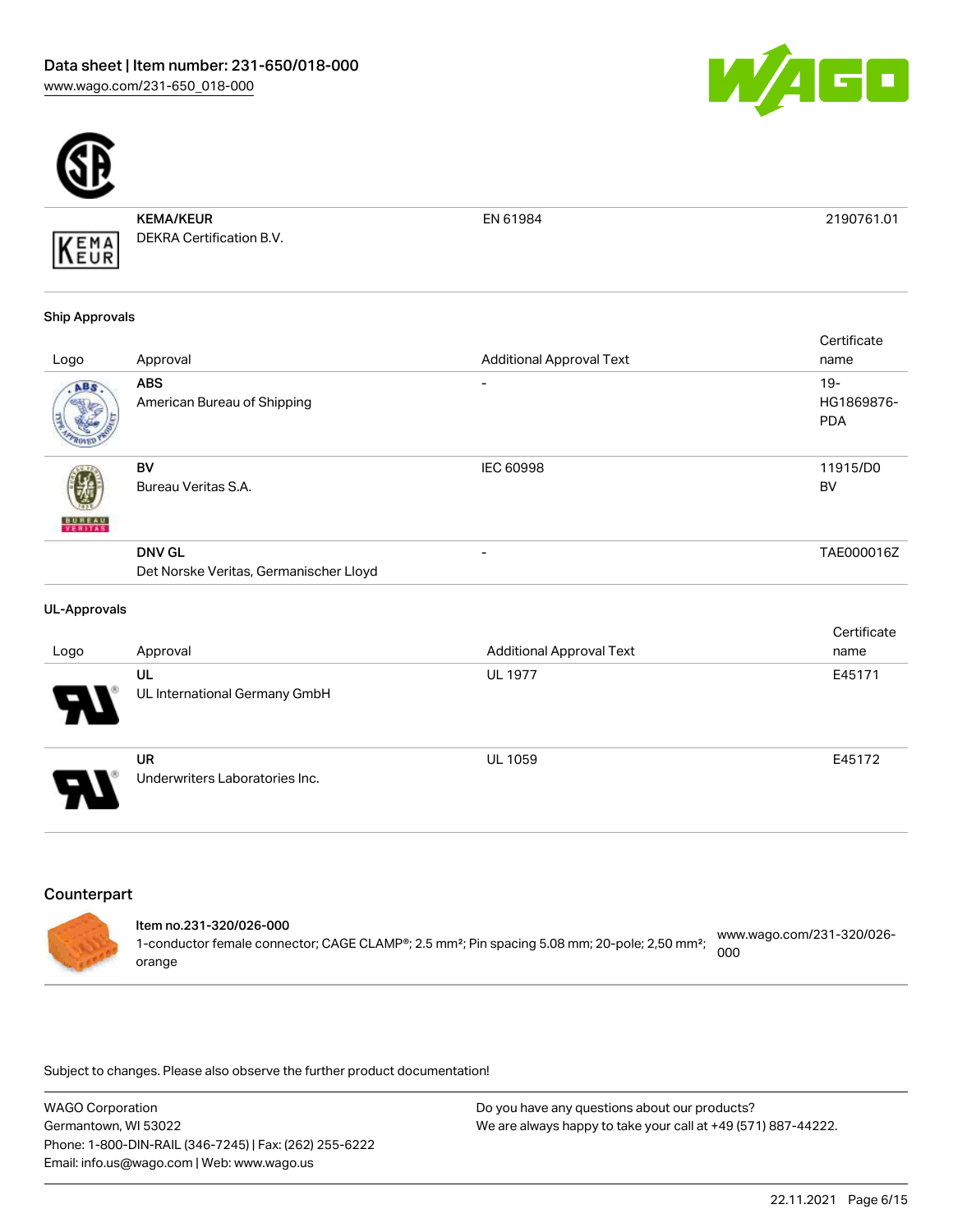



KEMA/KEUR DEKRA Certification B.V.

EN 61984 2190761.01

#### Ship Approvals

KEMA

|               |                                                         |                                 | Certificate                        |
|---------------|---------------------------------------------------------|---------------------------------|------------------------------------|
| Logo          | Approval                                                | <b>Additional Approval Text</b> | name                               |
| ABS.          | <b>ABS</b><br>American Bureau of Shipping               | ۰                               | $19 -$<br>HG1869876-<br><b>PDA</b> |
| <b>BUREAU</b> | BV<br>Bureau Veritas S.A.                               | <b>IEC 60998</b>                | 11915/D0<br><b>BV</b>              |
|               | <b>DNV GL</b><br>Det Norske Veritas, Germanischer Lloyd | ۰                               | TAE000016Z                         |

#### UL-Approvals

|                            |                                             |                                 | Certificate |
|----------------------------|---------------------------------------------|---------------------------------|-------------|
| Logo                       | Approval                                    | <b>Additional Approval Text</b> | name        |
| 8                          | UL<br>UL International Germany GmbH         | <b>UL 1977</b>                  | E45171      |
| $\boldsymbol{\mathcal{A}}$ | <b>UR</b><br>Underwriters Laboratories Inc. | <b>UL 1059</b>                  | E45172      |

# **Counterpart**

| Item no.231-320/026-000<br>1-conductor female connector; CAGE CLAMP®; 2.5 mm <sup>2</sup> ; Pin spacing 5.08 mm; 20-pole; 2,50 mm <sup>2</sup> ; | www.wago.com/231-320/026-<br>000 |
|--------------------------------------------------------------------------------------------------------------------------------------------------|----------------------------------|
| orange                                                                                                                                           |                                  |

| <b>WAGO Corporation</b>                                | Do you have any questions about our products?                 |
|--------------------------------------------------------|---------------------------------------------------------------|
| Germantown, WI 53022                                   | We are always happy to take your call at +49 (571) 887-44222. |
| Phone: 1-800-DIN-RAIL (346-7245)   Fax: (262) 255-6222 |                                                               |
| Email: info.us@wago.com   Web: www.wago.us             |                                                               |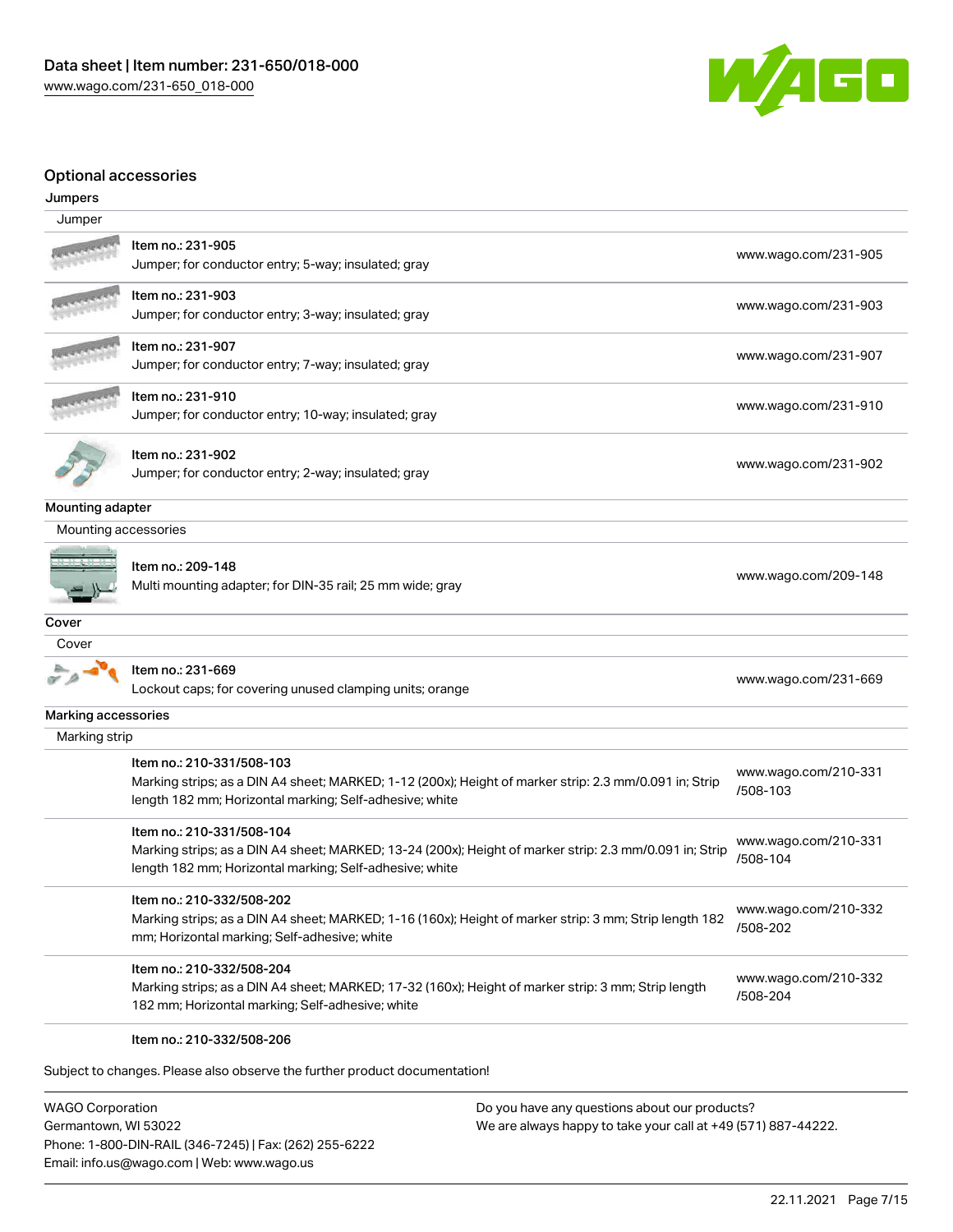

# Optional accessories

| s puonai aoocsson ide<br>Jumpers |                                                                                                                                                                                                 |                                  |
|----------------------------------|-------------------------------------------------------------------------------------------------------------------------------------------------------------------------------------------------|----------------------------------|
| Jumper                           |                                                                                                                                                                                                 |                                  |
|                                  | Item no.: 231-905<br>Jumper; for conductor entry; 5-way; insulated; gray                                                                                                                        | www.wago.com/231-905             |
|                                  | Item no.: 231-903<br>Jumper; for conductor entry; 3-way; insulated; gray                                                                                                                        | www.wago.com/231-903             |
|                                  | Item no.: 231-907<br>Jumper; for conductor entry; 7-way; insulated; gray                                                                                                                        | www.wago.com/231-907             |
|                                  | Item no.: 231-910<br>Jumper; for conductor entry; 10-way; insulated; gray                                                                                                                       | www.wago.com/231-910             |
|                                  | ltem no.: 231-902<br>Jumper; for conductor entry; 2-way; insulated; gray                                                                                                                        | www.wago.com/231-902             |
| Mounting adapter                 |                                                                                                                                                                                                 |                                  |
| Mounting accessories             |                                                                                                                                                                                                 |                                  |
|                                  | Item no.: 209-148<br>Multi mounting adapter; for DIN-35 rail; 25 mm wide; gray                                                                                                                  | www.wago.com/209-148             |
| Cover                            |                                                                                                                                                                                                 |                                  |
| Cover                            |                                                                                                                                                                                                 |                                  |
|                                  | Item no.: 231-669<br>Lockout caps; for covering unused clamping units; orange                                                                                                                   | www.wago.com/231-669             |
| Marking accessories              |                                                                                                                                                                                                 |                                  |
| Marking strip                    |                                                                                                                                                                                                 |                                  |
|                                  | Item no.: 210-331/508-103<br>Marking strips; as a DIN A4 sheet; MARKED; 1-12 (200x); Height of marker strip: 2.3 mm/0.091 in; Strip<br>length 182 mm; Horizontal marking; Self-adhesive; white  | www.wago.com/210-331<br>/508-103 |
|                                  | Item no.: 210-331/508-104<br>Marking strips; as a DIN A4 sheet; MARKED; 13-24 (200x); Height of marker strip: 2.3 mm/0.091 in; Strip<br>length 182 mm; Horizontal marking; Self-adhesive; white | www.wago.com/210-331<br>/508-104 |
|                                  | Item no.: 210-332/508-202<br>Marking strips; as a DIN A4 sheet; MARKED; 1-16 (160x); Height of marker strip: 3 mm; Strip length 182<br>mm; Horizontal marking; Self-adhesive; white             | www.wago.com/210-332<br>/508-202 |
|                                  | Item no.: 210-332/508-204<br>Marking strips; as a DIN A4 sheet; MARKED; 17-32 (160x); Height of marker strip: 3 mm; Strip length<br>182 mm; Horizontal marking; Self-adhesive; white            | www.wago.com/210-332<br>/508-204 |

#### Item no.: 210-332/508-206

Subject to changes. Please also observe the further product documentation!

WAGO Corporation Germantown, WI 53022 Phone: 1-800-DIN-RAIL (346-7245) | Fax: (262) 255-6222 Email: info.us@wago.com | Web: www.wago.us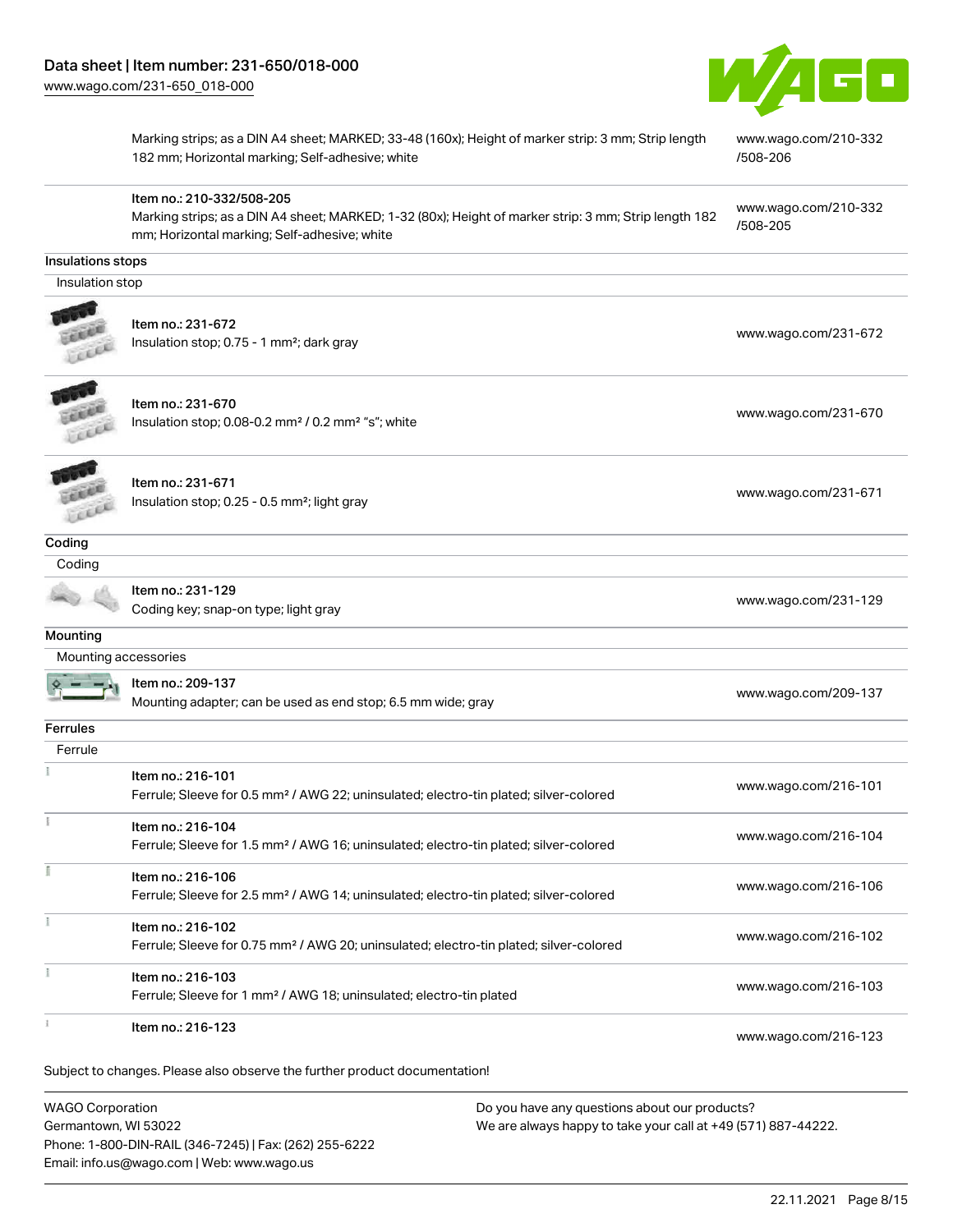Item no.: 210-332/508-205



Marking strips; as a DIN A4 sheet; MARKED; 33-48 (160x); Height of marker strip: 3 mm; Strip length 182 mm; Horizontal marking; Self-adhesive; white

Marking strips; as a DIN A4 sheet; MARKED; 1-32 (80x); Height of marker strip: 3 mm; Strip length 182

[www.wago.com/210-332](http://www.wago.com/210-332/508-206) [/508-206](http://www.wago.com/210-332/508-206)

[www.wago.com/210-332](http://www.wago.com/210-332/508-205) [/508-205](http://www.wago.com/210-332/508-205)

#### Insulations stops

Insulation stop



| ltem no.: 231-672                                     | www.wago.com/231-672 |
|-------------------------------------------------------|----------------------|
| Insulation stop; 0.75 - 1 mm <sup>2</sup> ; dark gray |                      |

mm; Horizontal marking; Self-adhesive; white



Item no.: 231-670 Insulation stop; 0.08-0.2 mm<sup>2</sup> / 0.2 mm<sup>2</sup> "s"; white [www.wago.com/231-670](http://www.wago.com/231-670) www.wago.com/231-670



Item no.: 231-671 Insulation stop; 0.25 - 0.5 mm²; light gray [www.wago.com/231-671](http://www.wago.com/231-671) www.wago.com/231-671

Coding

**Coding** 

Item no.: 231-129

nem no.. 231-129<br>Coding key; snap-on type; light gray [www.wago.com/231-129](http://www.wago.com/231-129)

**Mounting** 

| Mounting accessories |                                                                                                    |                      |
|----------------------|----------------------------------------------------------------------------------------------------|----------------------|
|                      | Item no.: 209-137                                                                                  | www.wago.com/209-137 |
|                      | Mounting adapter; can be used as end stop; 6.5 mm wide; gray                                       |                      |
| <b>Ferrules</b>      |                                                                                                    |                      |
| Ferrule              |                                                                                                    |                      |
|                      | Item no.: 216-101                                                                                  |                      |
|                      | Ferrule; Sleeve for 0.5 mm <sup>2</sup> / AWG 22; uninsulated; electro-tin plated; silver-colored  | www.wago.com/216-101 |
|                      | Item no.: 216-104                                                                                  |                      |
|                      | Ferrule; Sleeve for 1.5 mm <sup>2</sup> / AWG 16; uninsulated; electro-tin plated; silver-colored  | www.wago.com/216-104 |
|                      | Item no.: 216-106                                                                                  |                      |
|                      | Ferrule; Sleeve for 2.5 mm <sup>2</sup> / AWG 14; uninsulated; electro-tin plated; silver-colored  | www.wago.com/216-106 |
|                      | Item no.: 216-102                                                                                  |                      |
|                      | Ferrule; Sleeve for 0.75 mm <sup>2</sup> / AWG 20; uninsulated; electro-tin plated; silver-colored | www.wago.com/216-102 |
|                      | Item no.: 216-103                                                                                  |                      |
|                      | Ferrule; Sleeve for 1 mm <sup>2</sup> / AWG 18; uninsulated; electro-tin plated                    | www.wago.com/216-103 |
|                      | Item no.: 216-123                                                                                  |                      |
|                      |                                                                                                    | www.wago.com/216-123 |
|                      | Subject to changes. Please also observe the further product documentation!                         |                      |

WAGO Corporation Germantown, WI 53022 Phone: 1-800-DIN-RAIL (346-7245) | Fax: (262) 255-6222 Email: info.us@wago.com | Web: www.wago.us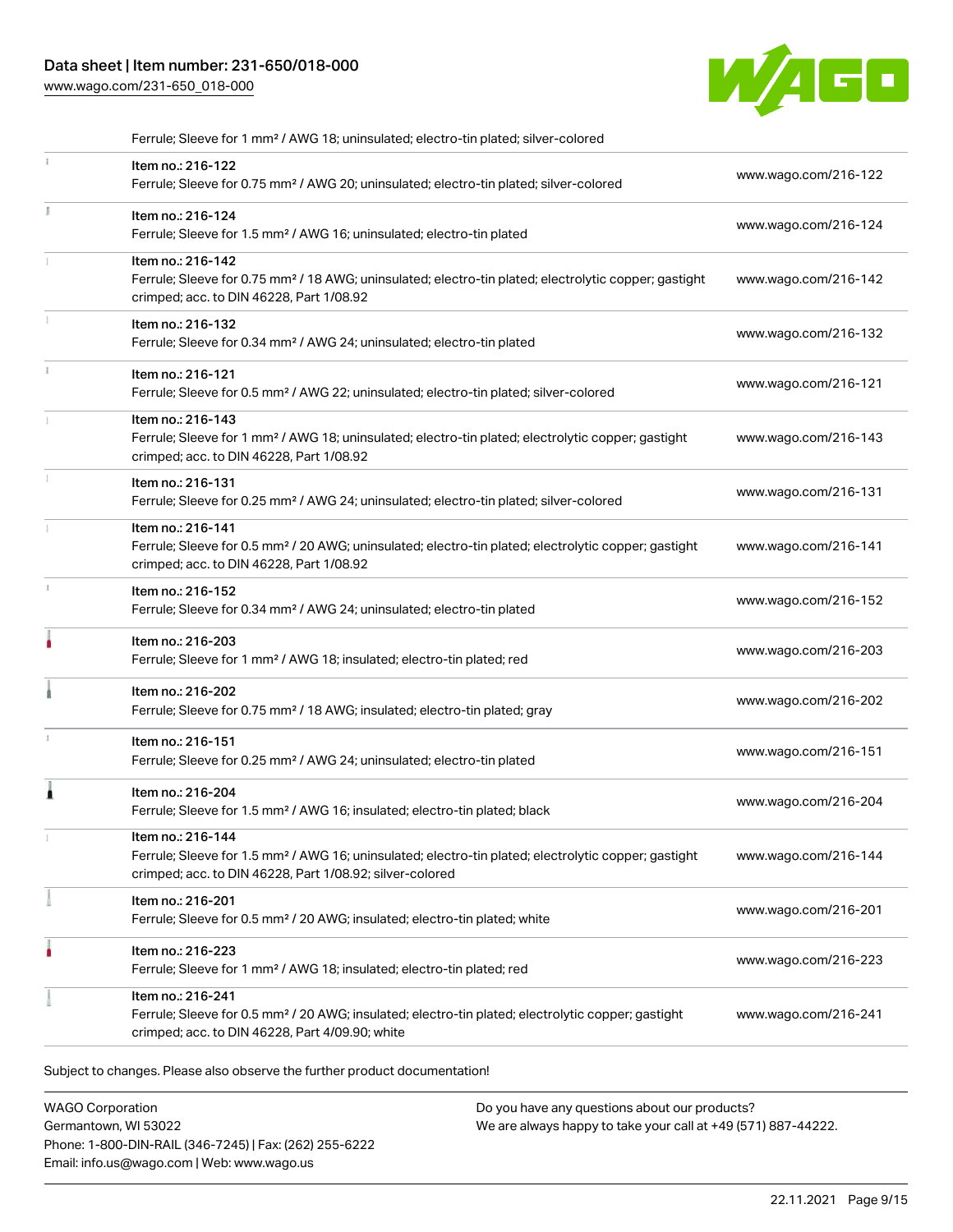# Data sheet | Item number: 231-650/018-000

[www.wago.com/231-650\\_018-000](http://www.wago.com/231-650_018-000)



|    | Ferrule; Sleeve for 1 mm <sup>2</sup> / AWG 18; uninsulated; electro-tin plated; silver-colored                                                                                                   |                      |
|----|---------------------------------------------------------------------------------------------------------------------------------------------------------------------------------------------------|----------------------|
|    | Item no.: 216-122<br>Ferrule; Sleeve for 0.75 mm <sup>2</sup> / AWG 20; uninsulated; electro-tin plated; silver-colored                                                                           | www.wago.com/216-122 |
| Ĭ. | Item no.: 216-124<br>Ferrule; Sleeve for 1.5 mm <sup>2</sup> / AWG 16; uninsulated; electro-tin plated                                                                                            | www.wago.com/216-124 |
|    | Item no.: 216-142<br>Ferrule; Sleeve for 0.75 mm <sup>2</sup> / 18 AWG; uninsulated; electro-tin plated; electrolytic copper; gastight<br>crimped; acc. to DIN 46228, Part 1/08.92                | www.wago.com/216-142 |
|    | Item no.: 216-132<br>Ferrule; Sleeve for 0.34 mm <sup>2</sup> / AWG 24; uninsulated; electro-tin plated                                                                                           | www.wago.com/216-132 |
| î. | Item no.: 216-121<br>Ferrule; Sleeve for 0.5 mm <sup>2</sup> / AWG 22; uninsulated; electro-tin plated; silver-colored                                                                            | www.wago.com/216-121 |
|    | Item no.: 216-143<br>Ferrule; Sleeve for 1 mm <sup>2</sup> / AWG 18; uninsulated; electro-tin plated; electrolytic copper; gastight<br>crimped; acc. to DIN 46228, Part 1/08.92                   | www.wago.com/216-143 |
|    | Item no.: 216-131<br>Ferrule; Sleeve for 0.25 mm <sup>2</sup> / AWG 24; uninsulated; electro-tin plated; silver-colored                                                                           | www.wago.com/216-131 |
|    | Item no.: 216-141<br>Ferrule; Sleeve for 0.5 mm <sup>2</sup> / 20 AWG; uninsulated; electro-tin plated; electrolytic copper; gastight<br>crimped; acc. to DIN 46228, Part 1/08.92                 | www.wago.com/216-141 |
| s. | Item no.: 216-152<br>Ferrule; Sleeve for 0.34 mm <sup>2</sup> / AWG 24; uninsulated; electro-tin plated                                                                                           | www.wago.com/216-152 |
| ۸  | Item no.: 216-203<br>Ferrule; Sleeve for 1 mm <sup>2</sup> / AWG 18; insulated; electro-tin plated; red                                                                                           | www.wago.com/216-203 |
|    | Item no.: 216-202<br>Ferrule; Sleeve for 0.75 mm <sup>2</sup> / 18 AWG; insulated; electro-tin plated; gray                                                                                       | www.wago.com/216-202 |
|    | Item no.: 216-151<br>Ferrule; Sleeve for 0.25 mm <sup>2</sup> / AWG 24; uninsulated; electro-tin plated                                                                                           | www.wago.com/216-151 |
| Ă  | Item no.: 216-204<br>Ferrule; Sleeve for 1.5 mm <sup>2</sup> / AWG 16; insulated; electro-tin plated; black                                                                                       | www.wago.com/216-204 |
|    | Item no.: 216-144<br>Ferrule; Sleeve for 1.5 mm <sup>2</sup> / AWG 16; uninsulated; electro-tin plated; electrolytic copper; gastight<br>crimped; acc. to DIN 46228, Part 1/08.92; silver-colored | www.wago.com/216-144 |
|    | Item no.: 216-201<br>Ferrule; Sleeve for 0.5 mm <sup>2</sup> / 20 AWG; insulated; electro-tin plated; white                                                                                       | www.wago.com/216-201 |
|    | Item no.: 216-223<br>Ferrule; Sleeve for 1 mm <sup>2</sup> / AWG 18; insulated; electro-tin plated; red                                                                                           | www.wago.com/216-223 |
|    | Item no.: 216-241<br>Ferrule; Sleeve for 0.5 mm <sup>2</sup> / 20 AWG; insulated; electro-tin plated; electrolytic copper; gastight<br>crimped; acc. to DIN 46228, Part 4/09.90; white            | www.wago.com/216-241 |

Subject to changes. Please also observe the further product documentation!

WAGO Corporation Germantown, WI 53022 Phone: 1-800-DIN-RAIL (346-7245) | Fax: (262) 255-6222 Email: info.us@wago.com | Web: www.wago.us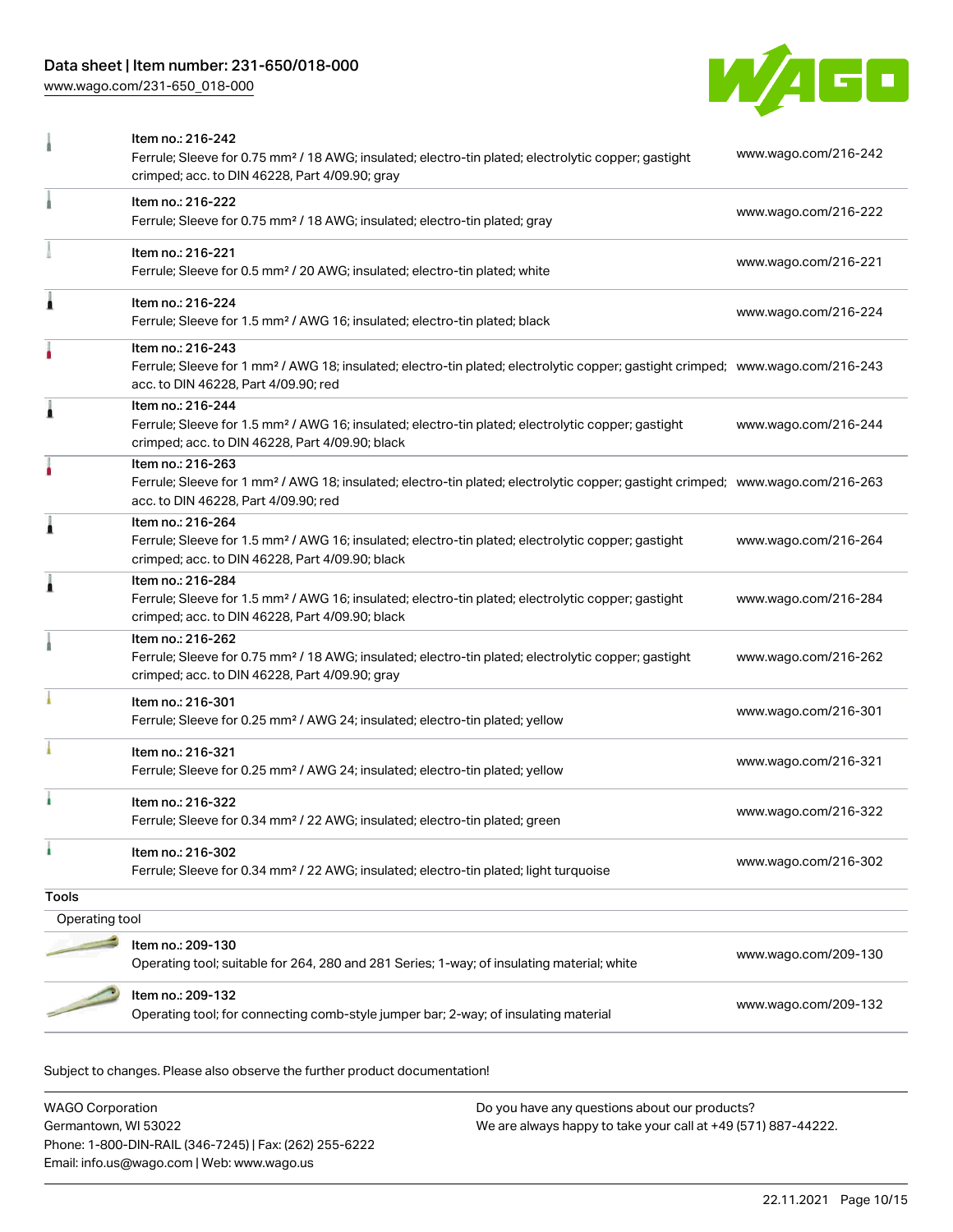# Data sheet | Item number: 231-650/018-000

[www.wago.com/231-650\\_018-000](http://www.wago.com/231-650_018-000)



|                | Item no.: 216-242                                                                                                                                                                                       |                      |
|----------------|---------------------------------------------------------------------------------------------------------------------------------------------------------------------------------------------------------|----------------------|
|                | Ferrule; Sleeve for 0.75 mm <sup>2</sup> / 18 AWG; insulated; electro-tin plated; electrolytic copper; gastight<br>crimped; acc. to DIN 46228, Part 4/09.90; gray                                       | www.wago.com/216-242 |
|                | Item no.: 216-222<br>Ferrule; Sleeve for 0.75 mm <sup>2</sup> / 18 AWG; insulated; electro-tin plated; gray                                                                                             | www.wago.com/216-222 |
|                | Item no.: 216-221<br>Ferrule; Sleeve for 0.5 mm <sup>2</sup> / 20 AWG; insulated; electro-tin plated; white                                                                                             | www.wago.com/216-221 |
| 1              | Item no.: 216-224<br>Ferrule; Sleeve for 1.5 mm <sup>2</sup> / AWG 16; insulated; electro-tin plated; black                                                                                             | www.wago.com/216-224 |
|                | Item no.: 216-243<br>Ferrule; Sleeve for 1 mm <sup>2</sup> / AWG 18; insulated; electro-tin plated; electrolytic copper; gastight crimped; www.wago.com/216-243<br>acc. to DIN 46228, Part 4/09.90; red |                      |
| Ă              | Item no.: 216-244<br>Ferrule; Sleeve for 1.5 mm <sup>2</sup> / AWG 16; insulated; electro-tin plated; electrolytic copper; gastight<br>crimped; acc. to DIN 46228, Part 4/09.90; black                  | www.wago.com/216-244 |
| ۸              | Item no.: 216-263<br>Ferrule; Sleeve for 1 mm <sup>2</sup> / AWG 18; insulated; electro-tin plated; electrolytic copper; gastight crimped; www.wago.com/216-263<br>acc. to DIN 46228, Part 4/09.90; red |                      |
| Ă              | Item no.: 216-264<br>Ferrule; Sleeve for 1.5 mm <sup>2</sup> / AWG 16; insulated; electro-tin plated; electrolytic copper; gastight<br>crimped; acc. to DIN 46228, Part 4/09.90; black                  | www.wago.com/216-264 |
| Ă              | Item no.: 216-284<br>Ferrule; Sleeve for 1.5 mm <sup>2</sup> / AWG 16; insulated; electro-tin plated; electrolytic copper; gastight<br>crimped; acc. to DIN 46228, Part 4/09.90; black                  | www.wago.com/216-284 |
|                | Item no.: 216-262<br>Ferrule; Sleeve for 0.75 mm <sup>2</sup> / 18 AWG; insulated; electro-tin plated; electrolytic copper; gastight<br>crimped; acc. to DIN 46228, Part 4/09.90; gray                  | www.wago.com/216-262 |
|                | Item no.: 216-301<br>Ferrule; Sleeve for 0.25 mm <sup>2</sup> / AWG 24; insulated; electro-tin plated; yellow                                                                                           | www.wago.com/216-301 |
|                | Item no.: 216-321<br>Ferrule; Sleeve for 0.25 mm <sup>2</sup> / AWG 24; insulated; electro-tin plated; yellow                                                                                           | www.wago.com/216-321 |
|                | Item no.: 216-322<br>Ferrule; Sleeve for 0.34 mm <sup>2</sup> / 22 AWG; insulated; electro-tin plated; green                                                                                            | www.wago.com/216-322 |
| ۵              | Item no.: 216-302<br>Ferrule; Sleeve for 0.34 mm <sup>2</sup> / 22 AWG; insulated; electro-tin plated; light turquoise                                                                                  | www.wago.com/216-302 |
| <b>Tools</b>   |                                                                                                                                                                                                         |                      |
| Operating tool |                                                                                                                                                                                                         |                      |
|                | Item no.: 209-130<br>Operating tool; suitable for 264, 280 and 281 Series; 1-way; of insulating material; white                                                                                         | www.wago.com/209-130 |
|                | Item no.: 209-132<br>Operating tool; for connecting comb-style jumper bar; 2-way; of insulating material                                                                                                | www.wago.com/209-132 |

Subject to changes. Please also observe the further product documentation!

WAGO Corporation Germantown, WI 53022 Phone: 1-800-DIN-RAIL (346-7245) | Fax: (262) 255-6222 Email: info.us@wago.com | Web: www.wago.us Do you have any questions about our products? We are always happy to take your call at +49 (571) 887-44222.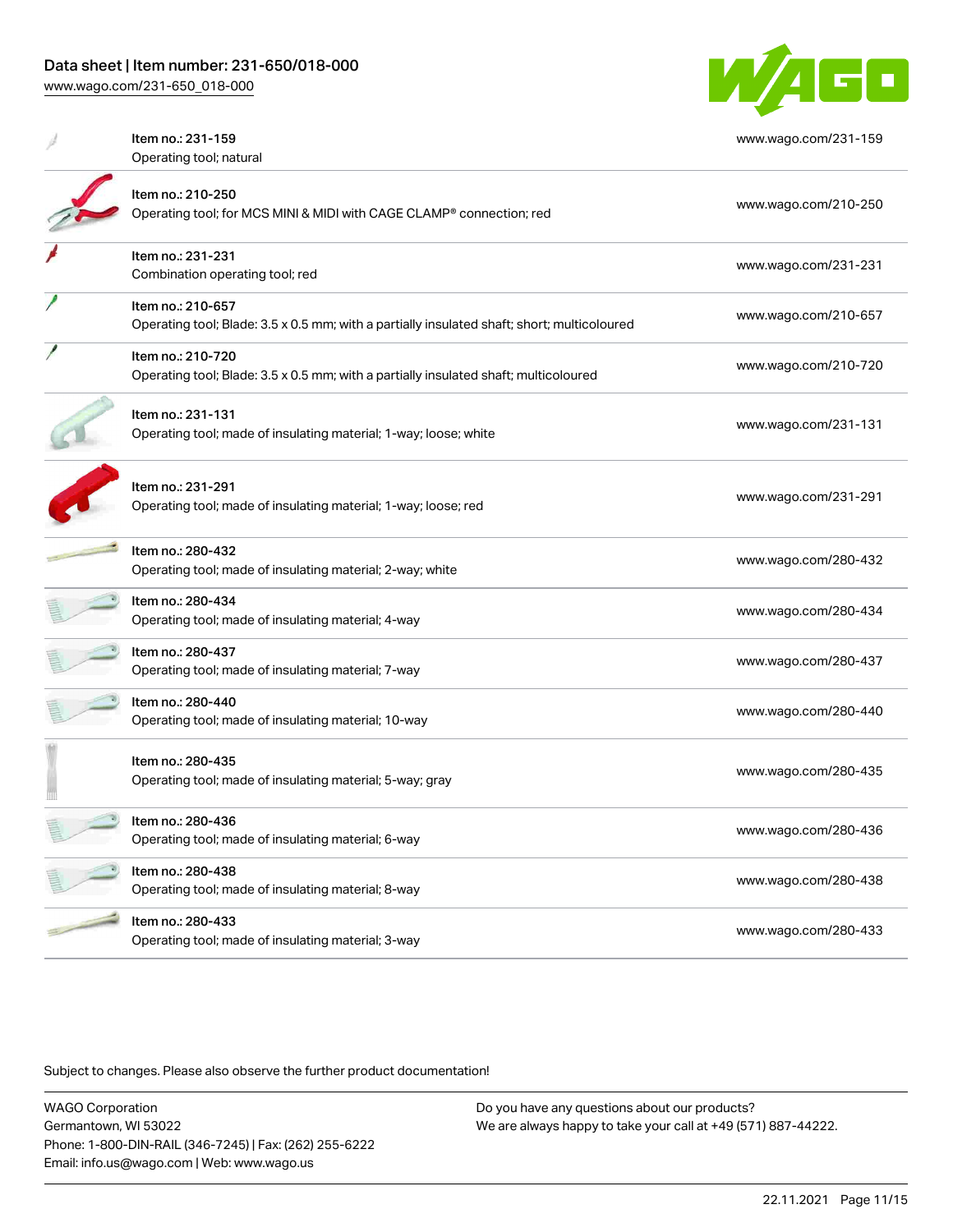[www.wago.com/231-650\\_018-000](http://www.wago.com/231-650_018-000)

y

and i



| Item no.: 231-159<br>Operating tool; natural                                                                     | www.wago.com/231-159 |
|------------------------------------------------------------------------------------------------------------------|----------------------|
| Item no.: 210-250<br>Operating tool; for MCS MINI & MIDI with CAGE CLAMP® connection; red                        | www.wago.com/210-250 |
| Item no.: 231-231<br>Combination operating tool; red                                                             | www.wago.com/231-231 |
| Item no.: 210-657<br>Operating tool; Blade: 3.5 x 0.5 mm; with a partially insulated shaft; short; multicoloured | www.wago.com/210-657 |
| Item no.: 210-720<br>Operating tool; Blade: 3.5 x 0.5 mm; with a partially insulated shaft; multicoloured        | www.wago.com/210-720 |
| Item no.: 231-131<br>Operating tool; made of insulating material; 1-way; loose; white                            | www.wago.com/231-131 |
| Item no.: 231-291<br>Operating tool; made of insulating material; 1-way; loose; red                              | www.wago.com/231-291 |
| Item no.: 280-432<br>Operating tool; made of insulating material; 2-way; white                                   | www.wago.com/280-432 |
| Item no.: 280-434<br>Operating tool; made of insulating material; 4-way                                          | www.wago.com/280-434 |
| Item no.: 280-437<br>Operating tool; made of insulating material; 7-way                                          | www.wago.com/280-437 |
| Item no.: 280-440<br>Operating tool; made of insulating material; 10-way                                         | www.wago.com/280-440 |
| Item no.: 280-435<br>Operating tool; made of insulating material; 5-way; gray                                    | www.wago.com/280-435 |
| Item no.: 280-436<br>Operating tool; made of insulating material; 6-way                                          | www.wago.com/280-436 |
| Item no.: 280-438<br>Operating tool; made of insulating material; 8-way                                          | www.wago.com/280-438 |
| Item no.: 280-433                                                                                                |                      |

Operating tool; made of insulating material; 3-way [www.wago.com/280-433](http://www.wago.com/280-433)

Subject to changes. Please also observe the further product documentation!

WAGO Corporation Germantown, WI 53022 Phone: 1-800-DIN-RAIL (346-7245) | Fax: (262) 255-6222 Email: info.us@wago.com | Web: www.wago.us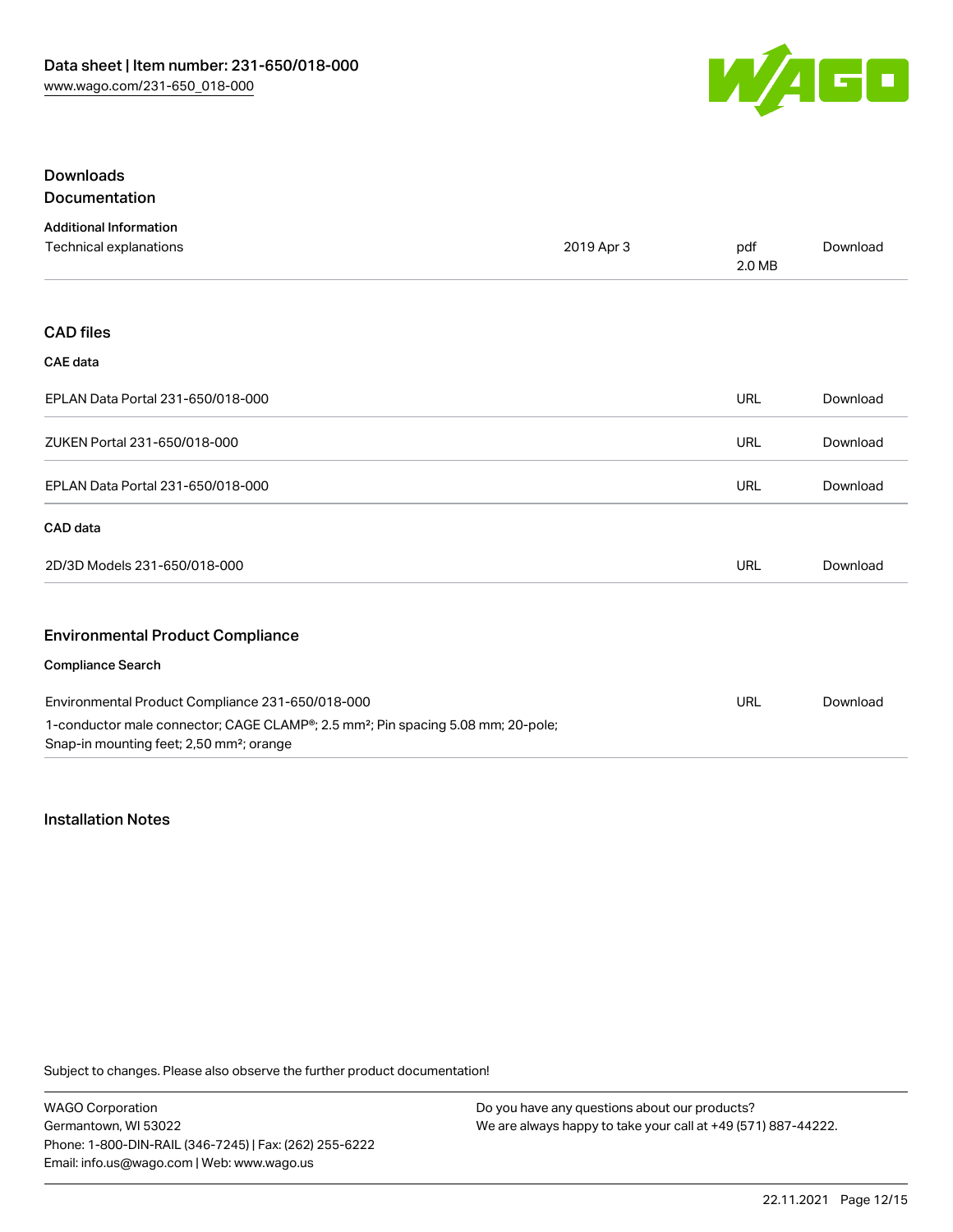

### Downloads Documentation

| <b>Additional Information</b>                                                                                                                        |            |               |          |
|------------------------------------------------------------------------------------------------------------------------------------------------------|------------|---------------|----------|
| Technical explanations                                                                                                                               | 2019 Apr 3 | pdf<br>2.0 MB | Download |
|                                                                                                                                                      |            |               |          |
| <b>CAD files</b>                                                                                                                                     |            |               |          |
| <b>CAE</b> data                                                                                                                                      |            |               |          |
| EPLAN Data Portal 231-650/018-000                                                                                                                    |            | <b>URL</b>    | Download |
| ZUKEN Portal 231-650/018-000                                                                                                                         |            | <b>URL</b>    | Download |
| EPLAN Data Portal 231-650/018-000                                                                                                                    |            | <b>URL</b>    | Download |
| CAD data                                                                                                                                             |            |               |          |
| 2D/3D Models 231-650/018-000                                                                                                                         |            | <b>URL</b>    | Download |
| <b>Environmental Product Compliance</b>                                                                                                              |            |               |          |
| <b>Compliance Search</b>                                                                                                                             |            |               |          |
| Environmental Product Compliance 231-650/018-000                                                                                                     |            | URL           | Download |
| 1-conductor male connector; CAGE CLAMP®; 2.5 mm <sup>2</sup> ; Pin spacing 5.08 mm; 20-pole;<br>Snap-in mounting feet; 2,50 mm <sup>2</sup> ; orange |            |               |          |

### Installation Notes

Subject to changes. Please also observe the further product documentation!

WAGO Corporation Germantown, WI 53022 Phone: 1-800-DIN-RAIL (346-7245) | Fax: (262) 255-6222 Email: info.us@wago.com | Web: www.wago.us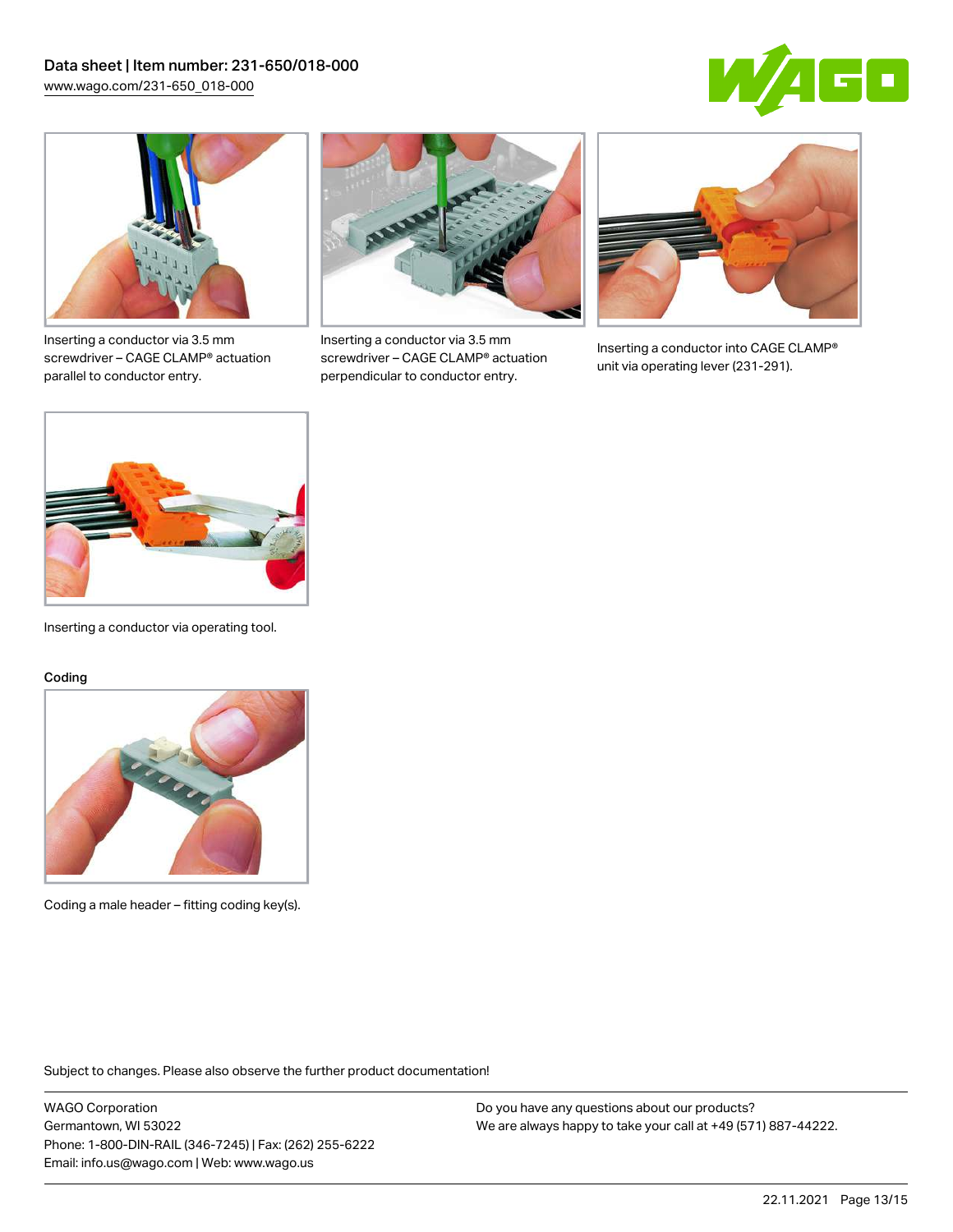



Inserting a conductor via 3.5 mm screwdriver – CAGE CLAMP® actuation parallel to conductor entry.



Inserting a conductor via 3.5 mm screwdriver – CAGE CLAMP® actuation perpendicular to conductor entry.



Inserting a conductor into CAGE CLAMP® unit via operating lever (231-291).



Inserting a conductor via operating tool.

#### Coding



Coding a male header – fitting coding key(s).

Subject to changes. Please also observe the further product documentation!

WAGO Corporation Germantown, WI 53022 Phone: 1-800-DIN-RAIL (346-7245) | Fax: (262) 255-6222 Email: info.us@wago.com | Web: www.wago.us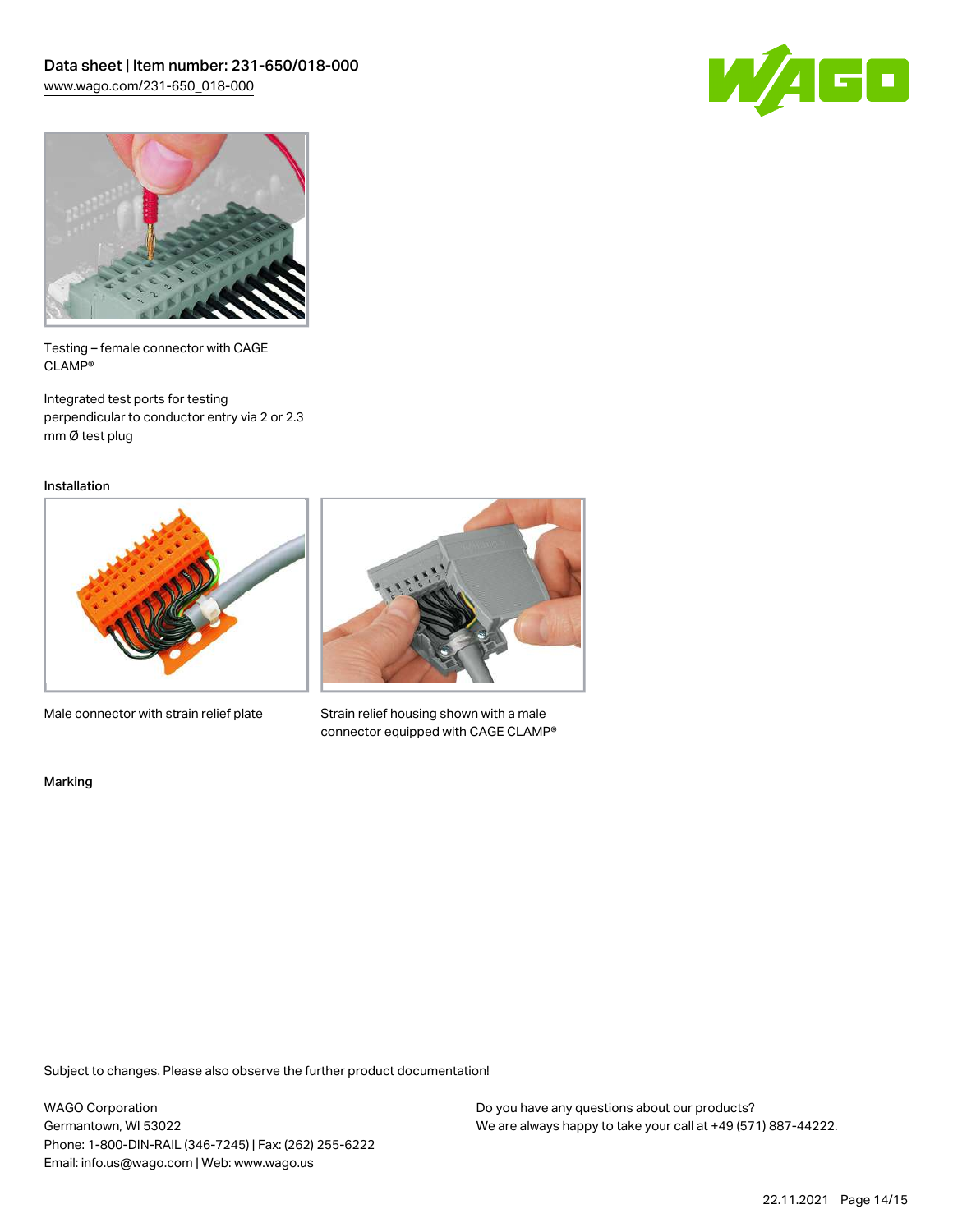



Testing – female connector with CAGE CLAMP®

Integrated test ports for testing perpendicular to conductor entry via 2 or 2.3 mm Ø test plug

Installation



Male connector with strain relief plate



Strain relief housing shown with a male connector equipped with CAGE CLAMP®

Marking

Subject to changes. Please also observe the further product documentation!

WAGO Corporation Germantown, WI 53022 Phone: 1-800-DIN-RAIL (346-7245) | Fax: (262) 255-6222 Email: info.us@wago.com | Web: www.wago.us